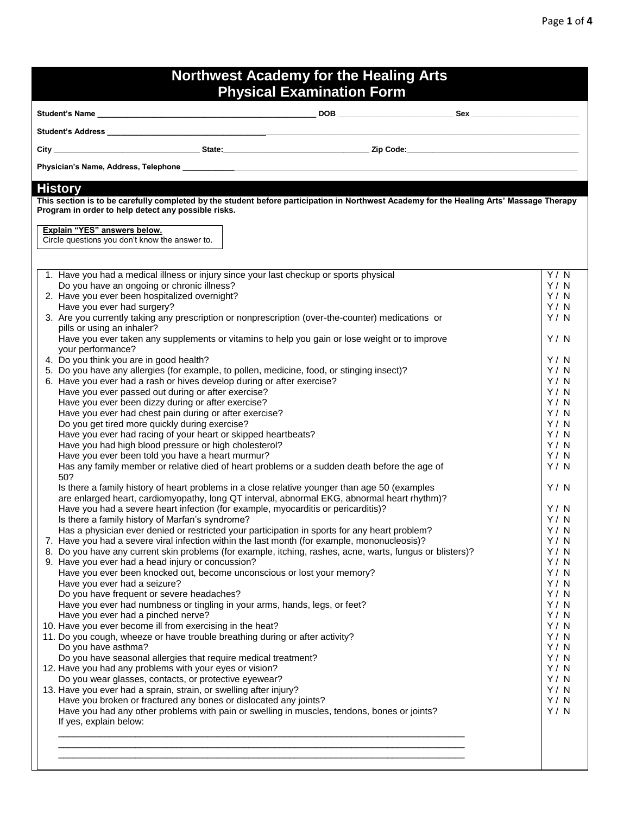| <b>Northwest Academy for the Healing Arts</b><br><b>Physical Examination Form</b>                                                                                                                                                                                                                                                                                                                                                                                                                                                                                                                                                                                                                                                                                                                                                                                                                                                                                                                                                                                                                                                                                                                                                                                                                                                                                                                                                                                                                                                                                                                                                                                                                                                                                                                                                                                                                                                                                                                                                                                                                                                                                                                                                                                                                                                                                                                                                                                                                                                                                       |                                                                                                                                                                                                                                                  |  |
|-------------------------------------------------------------------------------------------------------------------------------------------------------------------------------------------------------------------------------------------------------------------------------------------------------------------------------------------------------------------------------------------------------------------------------------------------------------------------------------------------------------------------------------------------------------------------------------------------------------------------------------------------------------------------------------------------------------------------------------------------------------------------------------------------------------------------------------------------------------------------------------------------------------------------------------------------------------------------------------------------------------------------------------------------------------------------------------------------------------------------------------------------------------------------------------------------------------------------------------------------------------------------------------------------------------------------------------------------------------------------------------------------------------------------------------------------------------------------------------------------------------------------------------------------------------------------------------------------------------------------------------------------------------------------------------------------------------------------------------------------------------------------------------------------------------------------------------------------------------------------------------------------------------------------------------------------------------------------------------------------------------------------------------------------------------------------------------------------------------------------------------------------------------------------------------------------------------------------------------------------------------------------------------------------------------------------------------------------------------------------------------------------------------------------------------------------------------------------------------------------------------------------------------------------------------------------|--------------------------------------------------------------------------------------------------------------------------------------------------------------------------------------------------------------------------------------------------|--|
|                                                                                                                                                                                                                                                                                                                                                                                                                                                                                                                                                                                                                                                                                                                                                                                                                                                                                                                                                                                                                                                                                                                                                                                                                                                                                                                                                                                                                                                                                                                                                                                                                                                                                                                                                                                                                                                                                                                                                                                                                                                                                                                                                                                                                                                                                                                                                                                                                                                                                                                                                                         |                                                                                                                                                                                                                                                  |  |
| Student's Address and the control of the control of the control of the control of the control of the control of the control of the control of the control of the control of the control of the control of the control of the c                                                                                                                                                                                                                                                                                                                                                                                                                                                                                                                                                                                                                                                                                                                                                                                                                                                                                                                                                                                                                                                                                                                                                                                                                                                                                                                                                                                                                                                                                                                                                                                                                                                                                                                                                                                                                                                                                                                                                                                                                                                                                                                                                                                                                                                                                                                                          |                                                                                                                                                                                                                                                  |  |
|                                                                                                                                                                                                                                                                                                                                                                                                                                                                                                                                                                                                                                                                                                                                                                                                                                                                                                                                                                                                                                                                                                                                                                                                                                                                                                                                                                                                                                                                                                                                                                                                                                                                                                                                                                                                                                                                                                                                                                                                                                                                                                                                                                                                                                                                                                                                                                                                                                                                                                                                                                         |                                                                                                                                                                                                                                                  |  |
|                                                                                                                                                                                                                                                                                                                                                                                                                                                                                                                                                                                                                                                                                                                                                                                                                                                                                                                                                                                                                                                                                                                                                                                                                                                                                                                                                                                                                                                                                                                                                                                                                                                                                                                                                                                                                                                                                                                                                                                                                                                                                                                                                                                                                                                                                                                                                                                                                                                                                                                                                                         |                                                                                                                                                                                                                                                  |  |
|                                                                                                                                                                                                                                                                                                                                                                                                                                                                                                                                                                                                                                                                                                                                                                                                                                                                                                                                                                                                                                                                                                                                                                                                                                                                                                                                                                                                                                                                                                                                                                                                                                                                                                                                                                                                                                                                                                                                                                                                                                                                                                                                                                                                                                                                                                                                                                                                                                                                                                                                                                         |                                                                                                                                                                                                                                                  |  |
| <b>History</b><br>This section is to be carefully completed by the student before participation in Northwest Academy for the Healing Arts' Massage Therapy<br>Program in order to help detect any possible risks.<br>Explain "YES" answers below.<br>Circle questions you don't know the answer to.<br>1. Have you had a medical illness or injury since your last checkup or sports physical<br>Do you have an ongoing or chronic illness?<br>2. Have you ever been hospitalized overnight?<br>Have you ever had surgery?<br>3. Are you currently taking any prescription or nonprescription (over-the-counter) medications or<br>pills or using an inhaler?<br>Have you ever taken any supplements or vitamins to help you gain or lose weight or to improve<br>your performance?<br>4. Do you think you are in good health?<br>5. Do you have any allergies (for example, to pollen, medicine, food, or stinging insect)?<br>6. Have you ever had a rash or hives develop during or after exercise?<br>Have you ever passed out during or after exercise?<br>Have you ever been dizzy during or after exercise?<br>Have you ever had chest pain during or after exercise?<br>Do you get tired more quickly during exercise?<br>Have you ever had racing of your heart or skipped heartbeats?<br>Have you had high blood pressure or high cholesterol?<br>Have you ever been told you have a heart murmur?<br>Has any family member or relative died of heart problems or a sudden death before the age of<br>50?<br>Is there a family history of heart problems in a close relative younger than age 50 (examples<br>are enlarged heart, cardiomyopathy, long QT interval, abnormal EKG, abnormal heart rhythm)?<br>Have you had a severe heart infection (for example, myocarditis or pericarditis)?<br>Is there a family history of Marfan's syndrome?<br>Has a physician ever denied or restricted your participation in sports for any heart problem?<br>7. Have you had a severe viral infection within the last month (for example, mononucleosis)?<br>8. Do you have any current skin problems (for example, itching, rashes, acne, warts, fungus or blisters)?<br>9. Have you ever had a head injury or concussion?<br>Have you ever been knocked out, become unconscious or lost your memory?<br>Have you ever had a seizure?<br>Do you have frequent or severe headaches?<br>Have you ever had numbness or tingling in your arms, hands, legs, or feet?<br>Have you ever had a pinched nerve?<br>10. Have you ever become ill from exercising in the heat? | Y / N<br>Y/N<br>Y / N<br>Y/N<br>Y/N<br>Y/N<br>Y / N<br>Y/N<br>Y / N<br>Y/N<br>Y/N<br>Y/N<br>Y/N<br>Y/N<br>Y / N<br>Y / N<br>Y / N<br>Y/N<br>Y / N<br>Y / N<br>Y / N<br>Y/N<br>Y / N<br>Y/N<br>Y / N<br>Y / N<br>Y / N<br>Y / N<br>Y / N<br>Y / N |  |
| 11. Do you cough, wheeze or have trouble breathing during or after activity?                                                                                                                                                                                                                                                                                                                                                                                                                                                                                                                                                                                                                                                                                                                                                                                                                                                                                                                                                                                                                                                                                                                                                                                                                                                                                                                                                                                                                                                                                                                                                                                                                                                                                                                                                                                                                                                                                                                                                                                                                                                                                                                                                                                                                                                                                                                                                                                                                                                                                            | Y / N                                                                                                                                                                                                                                            |  |
| Do you have asthma?<br>Do you have seasonal allergies that require medical treatment?                                                                                                                                                                                                                                                                                                                                                                                                                                                                                                                                                                                                                                                                                                                                                                                                                                                                                                                                                                                                                                                                                                                                                                                                                                                                                                                                                                                                                                                                                                                                                                                                                                                                                                                                                                                                                                                                                                                                                                                                                                                                                                                                                                                                                                                                                                                                                                                                                                                                                   | Y / N<br>Y / N                                                                                                                                                                                                                                   |  |
| 12. Have you had any problems with your eyes or vision?<br>Do you wear glasses, contacts, or protective eyewear?                                                                                                                                                                                                                                                                                                                                                                                                                                                                                                                                                                                                                                                                                                                                                                                                                                                                                                                                                                                                                                                                                                                                                                                                                                                                                                                                                                                                                                                                                                                                                                                                                                                                                                                                                                                                                                                                                                                                                                                                                                                                                                                                                                                                                                                                                                                                                                                                                                                        | Y / N<br>Y / N                                                                                                                                                                                                                                   |  |
| 13. Have you ever had a sprain, strain, or swelling after injury?                                                                                                                                                                                                                                                                                                                                                                                                                                                                                                                                                                                                                                                                                                                                                                                                                                                                                                                                                                                                                                                                                                                                                                                                                                                                                                                                                                                                                                                                                                                                                                                                                                                                                                                                                                                                                                                                                                                                                                                                                                                                                                                                                                                                                                                                                                                                                                                                                                                                                                       | Y / N                                                                                                                                                                                                                                            |  |
| Have you broken or fractured any bones or dislocated any joints?<br>Have you had any other problems with pain or swelling in muscles, tendons, bones or joints?<br>If yes, explain below:                                                                                                                                                                                                                                                                                                                                                                                                                                                                                                                                                                                                                                                                                                                                                                                                                                                                                                                                                                                                                                                                                                                                                                                                                                                                                                                                                                                                                                                                                                                                                                                                                                                                                                                                                                                                                                                                                                                                                                                                                                                                                                                                                                                                                                                                                                                                                                               | Y / N<br>Y / N                                                                                                                                                                                                                                   |  |
|                                                                                                                                                                                                                                                                                                                                                                                                                                                                                                                                                                                                                                                                                                                                                                                                                                                                                                                                                                                                                                                                                                                                                                                                                                                                                                                                                                                                                                                                                                                                                                                                                                                                                                                                                                                                                                                                                                                                                                                                                                                                                                                                                                                                                                                                                                                                                                                                                                                                                                                                                                         |                                                                                                                                                                                                                                                  |  |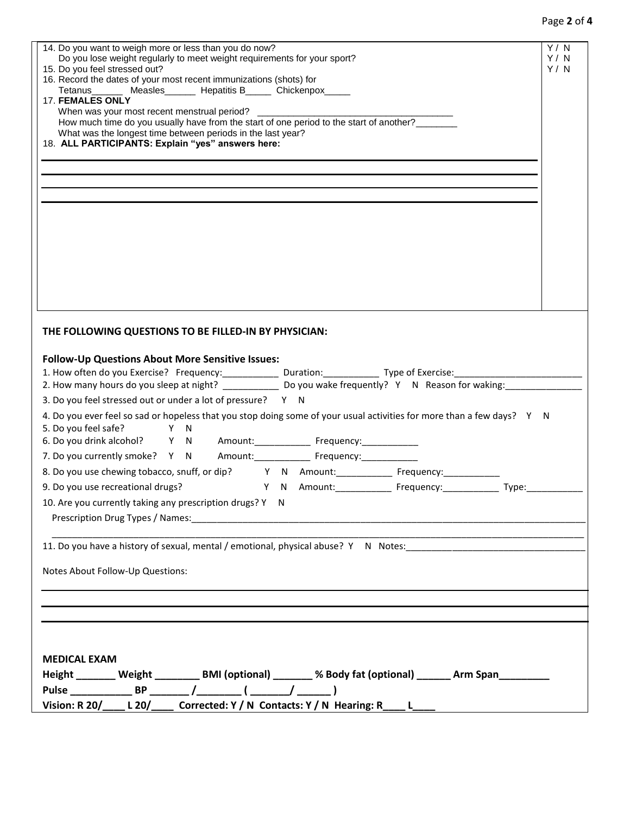## Page **2** of **4**

| 14. Do you want to weigh more or less than you do now?<br>Do you lose weight regularly to meet weight requirements for your sport?<br>15. Do you feel stressed out?<br>16. Record the dates of your most recent immunizations (shots) for<br>Tetanus _______ Measles _______ Hepatitis B______ Chickenpox_____<br><b>17. FEMALES ONLY</b><br>When was your most recent menstrual period? _________<br>How much time do you usually have from the start of one period to the start of another?_______<br>What was the longest time between periods in the last year?<br>18. ALL PARTICIPANTS: Explain "yes" answers here: | Y/N<br>Y/N<br>Y/N |  |  |  |
|--------------------------------------------------------------------------------------------------------------------------------------------------------------------------------------------------------------------------------------------------------------------------------------------------------------------------------------------------------------------------------------------------------------------------------------------------------------------------------------------------------------------------------------------------------------------------------------------------------------------------|-------------------|--|--|--|
|                                                                                                                                                                                                                                                                                                                                                                                                                                                                                                                                                                                                                          |                   |  |  |  |
|                                                                                                                                                                                                                                                                                                                                                                                                                                                                                                                                                                                                                          |                   |  |  |  |
|                                                                                                                                                                                                                                                                                                                                                                                                                                                                                                                                                                                                                          |                   |  |  |  |
|                                                                                                                                                                                                                                                                                                                                                                                                                                                                                                                                                                                                                          |                   |  |  |  |
|                                                                                                                                                                                                                                                                                                                                                                                                                                                                                                                                                                                                                          |                   |  |  |  |
| THE FOLLOWING QUESTIONS TO BE FILLED-IN BY PHYSICIAN:                                                                                                                                                                                                                                                                                                                                                                                                                                                                                                                                                                    |                   |  |  |  |
| <b>Follow-Up Questions About More Sensitive Issues:</b><br>2. How many hours do you sleep at night? _________________ Do you wake frequently? Y N Reason for waking:<br>3. Do you feel stressed out or under a lot of pressure? Y N                                                                                                                                                                                                                                                                                                                                                                                      |                   |  |  |  |
| 4. Do you ever feel so sad or hopeless that you stop doing some of your usual activities for more than a few days? Y N<br>Y N<br>5. Do you feel safe?<br>6. Do you drink alcohol? Y N Amount: Frequency:                                                                                                                                                                                                                                                                                                                                                                                                                 |                   |  |  |  |
| 7. Do you currently smoke? Y N Amount: Frequency:                                                                                                                                                                                                                                                                                                                                                                                                                                                                                                                                                                        |                   |  |  |  |
| Y N Amount: Frequency: Type:                                                                                                                                                                                                                                                                                                                                                                                                                                                                                                                                                                                             |                   |  |  |  |
| 9. Do you use recreational drugs?<br>10. Are you currently taking any prescription drugs? Y N                                                                                                                                                                                                                                                                                                                                                                                                                                                                                                                            |                   |  |  |  |
|                                                                                                                                                                                                                                                                                                                                                                                                                                                                                                                                                                                                                          |                   |  |  |  |
| Notes About Follow-Up Questions:                                                                                                                                                                                                                                                                                                                                                                                                                                                                                                                                                                                         |                   |  |  |  |
|                                                                                                                                                                                                                                                                                                                                                                                                                                                                                                                                                                                                                          |                   |  |  |  |
|                                                                                                                                                                                                                                                                                                                                                                                                                                                                                                                                                                                                                          |                   |  |  |  |
|                                                                                                                                                                                                                                                                                                                                                                                                                                                                                                                                                                                                                          |                   |  |  |  |
|                                                                                                                                                                                                                                                                                                                                                                                                                                                                                                                                                                                                                          |                   |  |  |  |
| <b>MEDICAL EXAM</b><br>Height _______ Weight _________ BMI (optional) _______ % Body fat (optional) ______ Arm Span________                                                                                                                                                                                                                                                                                                                                                                                                                                                                                              |                   |  |  |  |
|                                                                                                                                                                                                                                                                                                                                                                                                                                                                                                                                                                                                                          |                   |  |  |  |
| Vision: R 20/____ L 20/____ Corrected: Y / N Contacts: Y / N Hearing: R____ L____                                                                                                                                                                                                                                                                                                                                                                                                                                                                                                                                        |                   |  |  |  |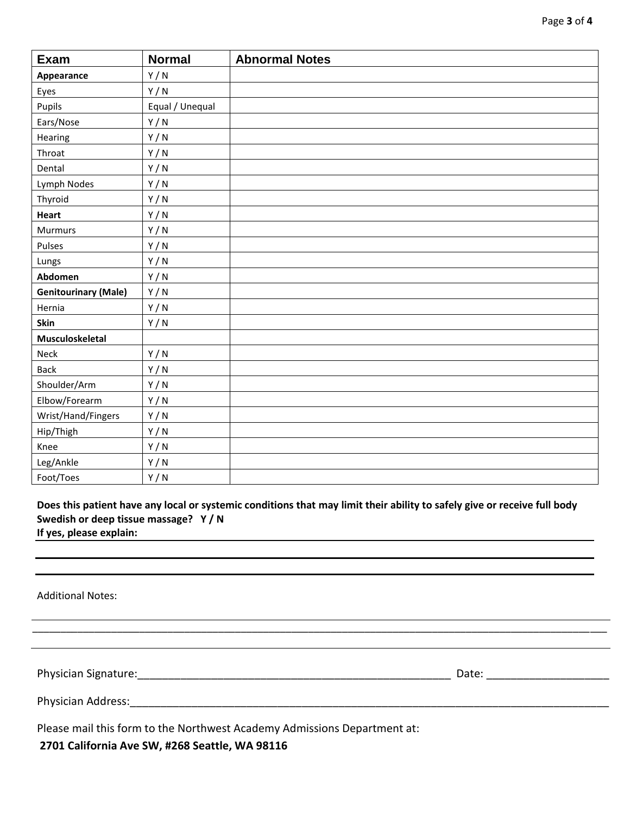| <b>Exam</b>                 | <b>Normal</b>   | <b>Abnormal Notes</b> |
|-----------------------------|-----------------|-----------------------|
| Appearance                  | Y/N             |                       |
| Eyes                        | Y/N             |                       |
| Pupils                      | Equal / Unequal |                       |
| Ears/Nose                   | Y/N             |                       |
| Hearing                     | Y/N             |                       |
| Throat                      | Y/N             |                       |
| Dental                      | Y/N             |                       |
| Lymph Nodes                 | Y/N             |                       |
| Thyroid                     | Y/N             |                       |
| <b>Heart</b>                | Y/N             |                       |
| <b>Murmurs</b>              | Y/N             |                       |
| Pulses                      | Y/N             |                       |
| Lungs                       | Y/N             |                       |
| Abdomen                     | Y/N             |                       |
| <b>Genitourinary (Male)</b> | Y/N             |                       |
| Hernia                      | Y/N             |                       |
| Skin                        | Y/N             |                       |
| Musculoskeletal             |                 |                       |
| Neck                        | Y/N             |                       |
| <b>Back</b>                 | Y/N             |                       |
| Shoulder/Arm                | Y/N             |                       |
| Elbow/Forearm               | Y/N             |                       |
| Wrist/Hand/Fingers          | Y/N             |                       |
| Hip/Thigh                   | Y/N             |                       |
| Knee                        | Y/N             |                       |
| Leg/Ankle                   | Y/N             |                       |
| Foot/Toes                   | Y/N             |                       |

**Does this patient have any local or systemic conditions that may limit their ability to safely give or receive full body Swedish or deep tissue massage? Y / N If yes, please explain:** 

\_\_\_\_\_\_\_\_\_\_\_\_\_\_\_\_\_\_\_\_\_\_\_\_\_\_\_\_\_\_\_\_\_\_\_\_\_\_\_\_\_\_\_\_\_\_\_\_\_\_\_\_\_\_\_\_\_\_\_\_\_\_\_\_\_\_\_\_\_\_\_\_\_\_\_\_\_\_\_\_\_\_\_\_\_\_\_\_\_\_\_\_\_\_\_\_\_\_\_\_\_\_

Additional Notes:

Physician Signature:\_\_\_\_\_\_\_\_\_\_\_\_\_\_\_\_\_\_\_\_\_\_\_\_\_\_\_\_\_\_\_\_\_\_\_\_\_\_\_\_\_\_\_\_\_\_\_\_\_\_\_ Date: \_\_\_\_\_\_\_\_\_\_\_\_\_\_\_\_\_\_\_\_

Physician Address:\_\_\_\_\_\_\_\_\_\_\_\_\_\_\_\_\_\_\_\_\_\_\_\_\_\_\_\_\_\_\_\_\_\_\_\_\_\_\_\_\_\_\_\_\_\_\_\_\_\_\_\_\_\_\_\_\_\_\_\_\_\_\_\_\_\_\_\_\_\_\_\_\_\_\_\_\_\_

Please mail this form to the Northwest Academy Admissions Department at:

**2701 California Ave SW, #268 Seattle, WA 98116**